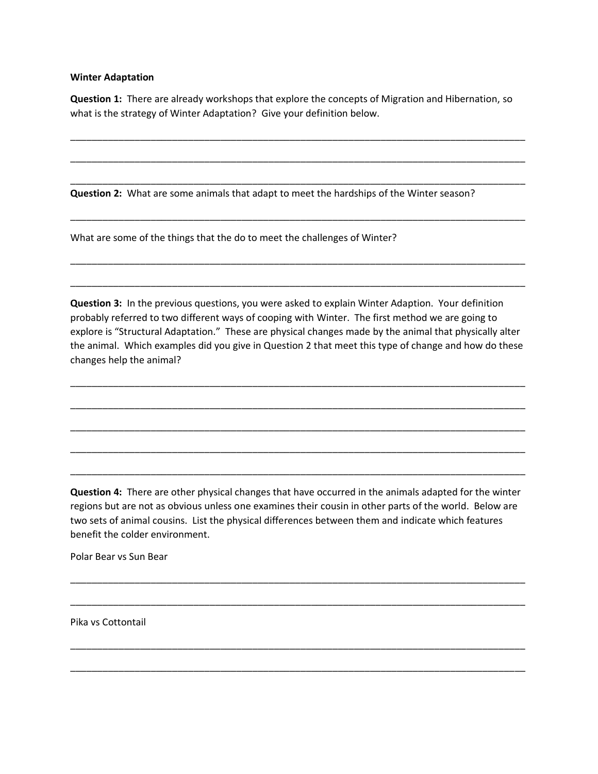## **Winter Adaptation**

**Question 1:** There are already workshops that explore the concepts of Migration and Hibernation, so what is the strategy of Winter Adaptation? Give your definition below.

\_\_\_\_\_\_\_\_\_\_\_\_\_\_\_\_\_\_\_\_\_\_\_\_\_\_\_\_\_\_\_\_\_\_\_\_\_\_\_\_\_\_\_\_\_\_\_\_\_\_\_\_\_\_\_\_\_\_\_\_\_\_\_\_\_\_\_\_\_\_\_\_\_\_\_\_\_\_\_\_\_\_\_\_\_

\_\_\_\_\_\_\_\_\_\_\_\_\_\_\_\_\_\_\_\_\_\_\_\_\_\_\_\_\_\_\_\_\_\_\_\_\_\_\_\_\_\_\_\_\_\_\_\_\_\_\_\_\_\_\_\_\_\_\_\_\_\_\_\_\_\_\_\_\_\_\_\_\_\_\_\_\_\_\_\_\_\_\_\_\_

\_\_\_\_\_\_\_\_\_\_\_\_\_\_\_\_\_\_\_\_\_\_\_\_\_\_\_\_\_\_\_\_\_\_\_\_\_\_\_\_\_\_\_\_\_\_\_\_\_\_\_\_\_\_\_\_\_\_\_\_\_\_\_\_\_\_\_\_\_\_\_\_\_\_\_\_\_\_\_\_\_\_\_\_\_

\_\_\_\_\_\_\_\_\_\_\_\_\_\_\_\_\_\_\_\_\_\_\_\_\_\_\_\_\_\_\_\_\_\_\_\_\_\_\_\_\_\_\_\_\_\_\_\_\_\_\_\_\_\_\_\_\_\_\_\_\_\_\_\_\_\_\_\_\_\_\_\_\_\_\_\_\_\_\_\_\_\_\_\_\_

\_\_\_\_\_\_\_\_\_\_\_\_\_\_\_\_\_\_\_\_\_\_\_\_\_\_\_\_\_\_\_\_\_\_\_\_\_\_\_\_\_\_\_\_\_\_\_\_\_\_\_\_\_\_\_\_\_\_\_\_\_\_\_\_\_\_\_\_\_\_\_\_\_\_\_\_\_\_\_\_\_\_\_\_\_

\_\_\_\_\_\_\_\_\_\_\_\_\_\_\_\_\_\_\_\_\_\_\_\_\_\_\_\_\_\_\_\_\_\_\_\_\_\_\_\_\_\_\_\_\_\_\_\_\_\_\_\_\_\_\_\_\_\_\_\_\_\_\_\_\_\_\_\_\_\_\_\_\_\_\_\_\_\_\_\_\_\_\_\_\_

**Question 2:** What are some animals that adapt to meet the hardships of the Winter season?

What are some of the things that the do to meet the challenges of Winter?

**Question 3:** In the previous questions, you were asked to explain Winter Adaption. Your definition probably referred to two different ways of cooping with Winter. The first method we are going to explore is "Structural Adaptation." These are physical changes made by the animal that physically alter the animal. Which examples did you give in Question 2 that meet this type of change and how do these changes help the animal?

\_\_\_\_\_\_\_\_\_\_\_\_\_\_\_\_\_\_\_\_\_\_\_\_\_\_\_\_\_\_\_\_\_\_\_\_\_\_\_\_\_\_\_\_\_\_\_\_\_\_\_\_\_\_\_\_\_\_\_\_\_\_\_\_\_\_\_\_\_\_\_\_\_\_\_\_\_\_\_\_\_\_\_\_\_

\_\_\_\_\_\_\_\_\_\_\_\_\_\_\_\_\_\_\_\_\_\_\_\_\_\_\_\_\_\_\_\_\_\_\_\_\_\_\_\_\_\_\_\_\_\_\_\_\_\_\_\_\_\_\_\_\_\_\_\_\_\_\_\_\_\_\_\_\_\_\_\_\_\_\_\_\_\_\_\_\_\_\_\_\_

\_\_\_\_\_\_\_\_\_\_\_\_\_\_\_\_\_\_\_\_\_\_\_\_\_\_\_\_\_\_\_\_\_\_\_\_\_\_\_\_\_\_\_\_\_\_\_\_\_\_\_\_\_\_\_\_\_\_\_\_\_\_\_\_\_\_\_\_\_\_\_\_\_\_\_\_\_\_\_\_\_\_\_\_\_

\_\_\_\_\_\_\_\_\_\_\_\_\_\_\_\_\_\_\_\_\_\_\_\_\_\_\_\_\_\_\_\_\_\_\_\_\_\_\_\_\_\_\_\_\_\_\_\_\_\_\_\_\_\_\_\_\_\_\_\_\_\_\_\_\_\_\_\_\_\_\_\_\_\_\_\_\_\_\_\_\_\_\_\_\_

\_\_\_\_\_\_\_\_\_\_\_\_\_\_\_\_\_\_\_\_\_\_\_\_\_\_\_\_\_\_\_\_\_\_\_\_\_\_\_\_\_\_\_\_\_\_\_\_\_\_\_\_\_\_\_\_\_\_\_\_\_\_\_\_\_\_\_\_\_\_\_\_\_\_\_\_\_\_\_\_\_\_\_\_\_

**Question 4:** There are other physical changes that have occurred in the animals adapted for the winter regions but are not as obvious unless one examines their cousin in other parts of the world. Below are two sets of animal cousins. List the physical differences between them and indicate which features benefit the colder environment.

\_\_\_\_\_\_\_\_\_\_\_\_\_\_\_\_\_\_\_\_\_\_\_\_\_\_\_\_\_\_\_\_\_\_\_\_\_\_\_\_\_\_\_\_\_\_\_\_\_\_\_\_\_\_\_\_\_\_\_\_\_\_\_\_\_\_\_\_\_\_\_\_\_\_\_\_\_\_\_\_\_\_\_\_\_

\_\_\_\_\_\_\_\_\_\_\_\_\_\_\_\_\_\_\_\_\_\_\_\_\_\_\_\_\_\_\_\_\_\_\_\_\_\_\_\_\_\_\_\_\_\_\_\_\_\_\_\_\_\_\_\_\_\_\_\_\_\_\_\_\_\_\_\_\_\_\_\_\_\_\_\_\_\_\_\_\_\_\_\_\_

\_\_\_\_\_\_\_\_\_\_\_\_\_\_\_\_\_\_\_\_\_\_\_\_\_\_\_\_\_\_\_\_\_\_\_\_\_\_\_\_\_\_\_\_\_\_\_\_\_\_\_\_\_\_\_\_\_\_\_\_\_\_\_\_\_\_\_\_\_\_\_\_\_\_\_\_\_\_\_\_\_\_\_\_\_

\_\_\_\_\_\_\_\_\_\_\_\_\_\_\_\_\_\_\_\_\_\_\_\_\_\_\_\_\_\_\_\_\_\_\_\_\_\_\_\_\_\_\_\_\_\_\_\_\_\_\_\_\_\_\_\_\_\_\_\_\_\_\_\_\_\_\_\_\_\_\_\_\_\_\_\_\_\_\_\_\_\_\_\_\_

Polar Bear vs Sun Bear

Pika vs Cottontail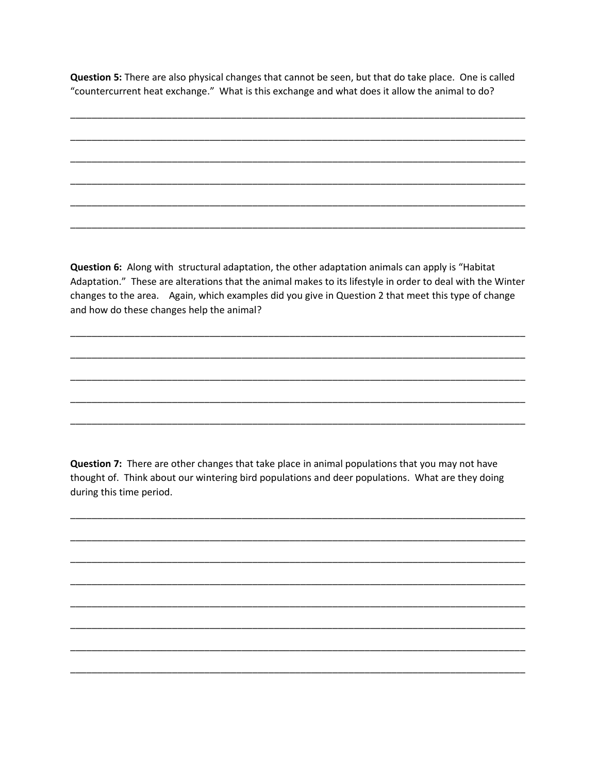Question 5: There are also physical changes that cannot be seen, but that do take place. One is called "countercurrent heat exchange." What is this exchange and what does it allow the animal to do?

Question 6: Along with structural adaptation, the other adaptation animals can apply is "Habitat Adaptation." These are alterations that the animal makes to its lifestyle in order to deal with the Winter changes to the area. Again, which examples did you give in Question 2 that meet this type of change and how do these changes help the animal?

Question 7: There are other changes that take place in animal populations that you may not have thought of. Think about our wintering bird populations and deer populations. What are they doing during this time period.